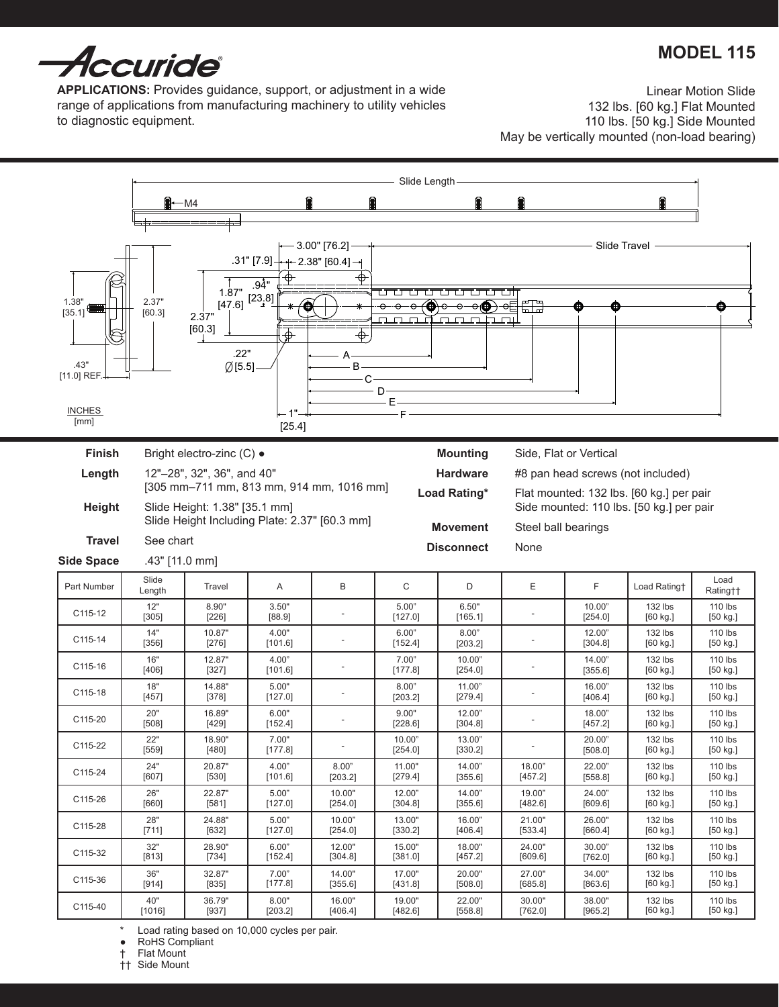# **MODEL 115**



**Applications:** Provides guidance, support, or adjustment in a wide range of applications from manufacturing machinery to utility vehicles to diagnostic equipment.

Linear Motion Slide 132 lbs. [60 kg.] Flat Mounted 110 lbs. [50 kg.] Side Mounted May be vertically mounted (non-load bearing)



Load rating based on 10,000 cycles per pair.

RoHS Compliant

† Flat Mount

†† Side Mount